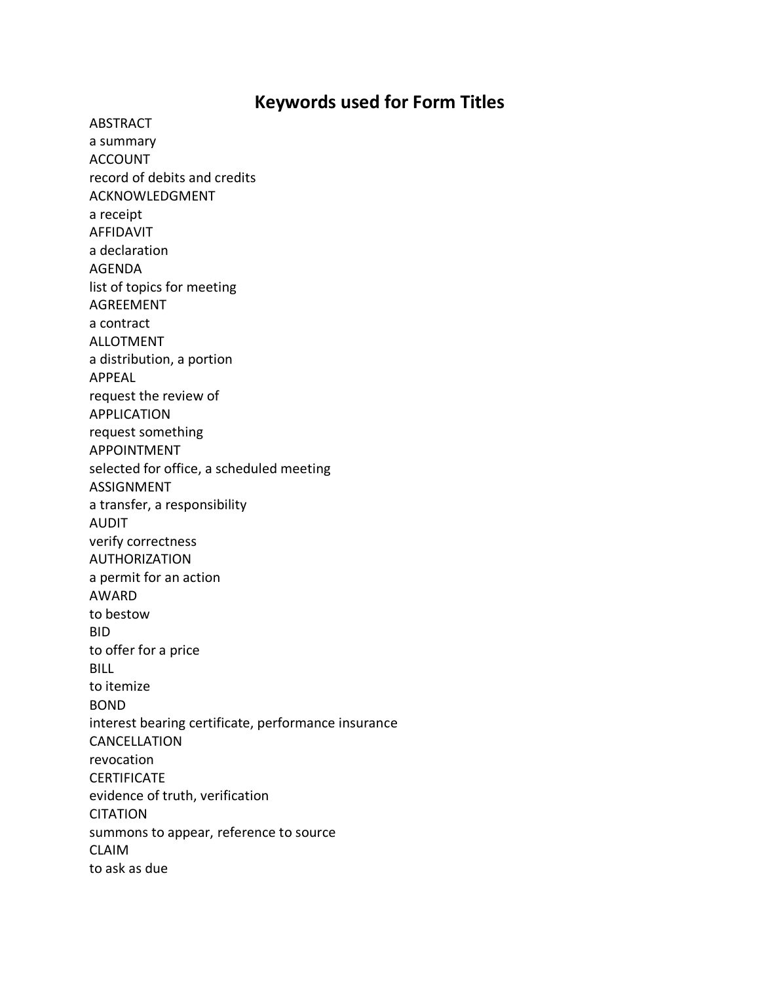## **Keywords used for Form Titles**

ABSTRACT a summary ACCOUNT record of debits and credits ACKNOWLEDGMENT a receipt AFFIDAVIT a declaration AGENDA list of topics for meeting AGREEMENT a contract ALLOTMENT a distribution, a portion APPEAL request the review of APPLICATION request something APPOINTMENT selected for office, a scheduled meeting ASSIGNMENT a transfer, a responsibility AUDIT verify correctness AUTHORIZATION a permit for an action AWARD to bestow BID to offer for a price BILL to itemize BOND interest bearing certificate, performance insurance CANCELLATION revocation CERTIFICATE evidence of truth, verification **CITATION** summons to appear, reference to source CLAIM to ask as due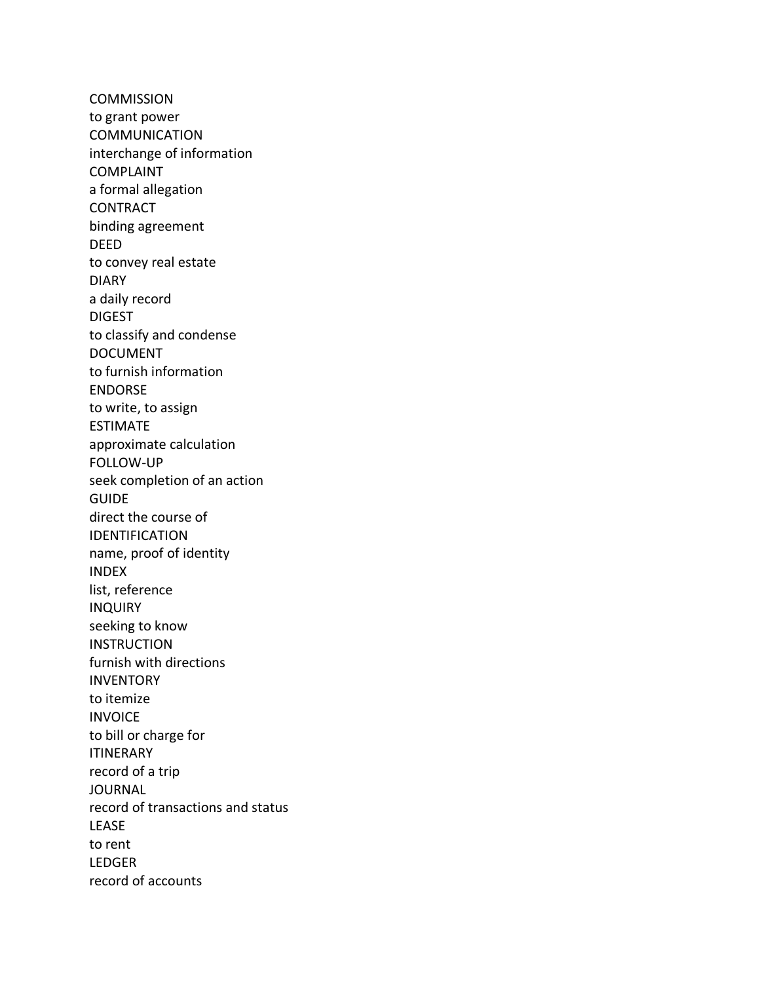**COMMISSION** to grant power COMMUNICATION interchange of information COMPLAINT a formal allegation CONTRACT binding agreement DEED to convey real estate DIARY a daily record DIGEST to classify and condense DOCUMENT to furnish information ENDORSE to write, to assign ESTIMATE approximate calculation FOLLOW-UP seek completion of an action **GUIDE** direct the course of IDENTIFICATION name, proof of identity INDEX list, reference INQUIRY seeking to know **INSTRUCTION** furnish with directions INVENTORY to itemize INVOICE to bill or charge for ITINERARY record of a trip **JOURNAL** record of transactions and status LEASE to rent LEDGER record of accounts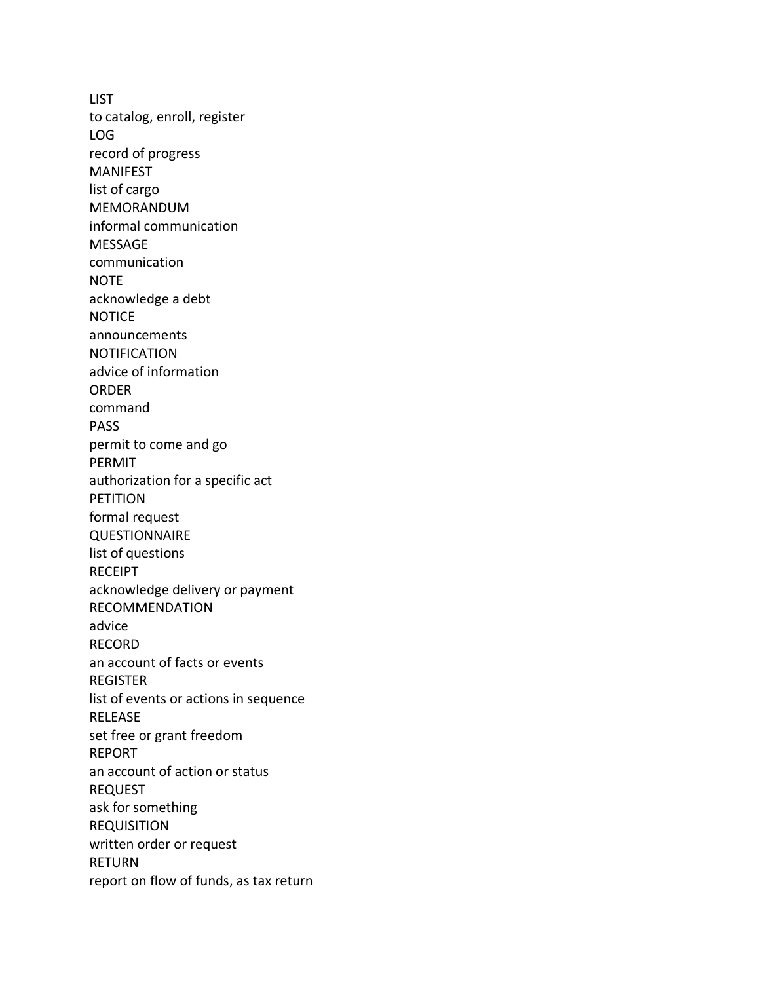**LIST** to catalog, enroll, register LOG record of progress MANIFEST list of cargo MEMORANDUM informal communication MESSAGE communication NOTE acknowledge a debt **NOTICE** announcements NOTIFICATION advice of information ORDER command PASS permit to come and go PERMIT authorization for a specific act PETITION formal request **QUESTIONNAIRE** list of questions RECEIPT acknowledge delivery or payment RECOMMENDATION advice RECORD an account of facts or events REGISTER list of events or actions in sequence RELEASE set free or grant freedom REPORT an account of action or status REQUEST ask for something REQUISITION written order or request RETURN report on flow of funds, as tax return